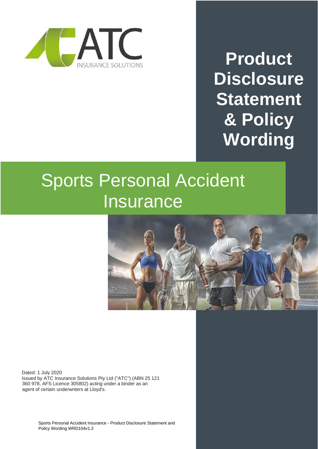

**Product Disclosure Statement & Policy Wording**

# Sports Personal Accident **Insurance**



Dated: 1 July 2020 Issued by ATC Insurance Solutions Pty Ltd ("ATC") (ABN 25 121 360 978, AFS Licence 305802) acting under a binder as an agent of certain underwriters at Lloyd's.

> Sports Personal Accident Insurance - Product Disclosure Statement and Policy Wording WRD104v1.2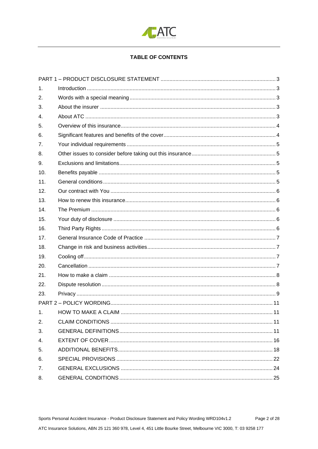

## **TABLE OF CONTENTS**

| $\mathbf{1}$ . |  |  |  |
|----------------|--|--|--|
| 2.             |  |  |  |
| 3.             |  |  |  |
| 4.             |  |  |  |
| 5.             |  |  |  |
| 6.             |  |  |  |
| 7.             |  |  |  |
| 8.             |  |  |  |
| 9.             |  |  |  |
| 10.            |  |  |  |
| 11.            |  |  |  |
| 12.            |  |  |  |
| 13.            |  |  |  |
| 14.            |  |  |  |
| 15.            |  |  |  |
| 16.            |  |  |  |
| 17.            |  |  |  |
| 18.            |  |  |  |
| 19.            |  |  |  |
| 20.            |  |  |  |
| 21.            |  |  |  |
| 22.            |  |  |  |
| 23.            |  |  |  |
|                |  |  |  |
| 1.             |  |  |  |
| 2.             |  |  |  |
| 3.             |  |  |  |
| 4.             |  |  |  |
| 5.             |  |  |  |
| 6.             |  |  |  |
| 7.             |  |  |  |
| 8.             |  |  |  |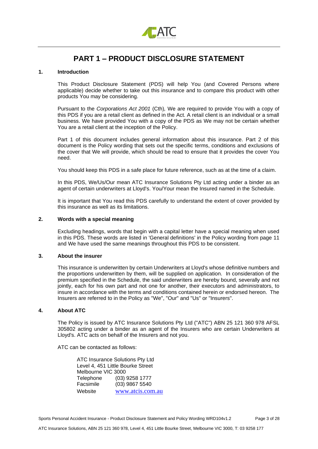

# **PART 1 – PRODUCT DISCLOSURE STATEMENT**

## <span id="page-2-1"></span><span id="page-2-0"></span>**1. Introduction**

This Product Disclosure Statement (PDS) will help You (and Covered Persons where applicable) decide whether to take out this insurance and to compare this product with other products You may be considering.

Pursuant to the *Corporations Act 2001* (Cth)*,* We are required to provide You with a copy of this PDS if you are a retail client as defined in the Act. A retail client is an individual or a small business. We have provided You with a copy of the PDS as We may not be certain whether You are a retail client at the inception of the Policy.

Part 1 of this document includes general information about this insurance. Part 2 of this document is the Policy wording that sets out the specific terms, conditions and exclusions of the cover that We will provide, which should be read to ensure that it provides the cover You need.

You should keep this PDS in a safe place for future reference, such as at the time of a claim.

In this PDS, We/Us/Our mean ATC Insurance Solutions Pty Ltd acting under a binder as an agent of certain underwriters at Lloyd's. You/Your mean the Insured named in the Schedule.

It is important that You read this PDS carefully to understand the extent of cover provided by this insurance as well as its limitations.

## <span id="page-2-2"></span>**2. Words with a special meaning**

Excluding headings, words that begin with a capital letter have a special meaning when used in this PDS. These words are listed in 'General definitions' in the Policy wording from page 11 and We have used the same meanings throughout this PDS to be consistent.

## <span id="page-2-3"></span>**3. About the insurer**

This insurance is underwritten by certain Underwriters at Lloyd's whose definitive numbers and the proportions underwritten by them, will be supplied on application. In consideration of the premium specified in the Schedule, the said underwriters are hereby bound, severally and not jointly, each for his own part and not one for another, their executors and administrators, to insure in accordance with the terms and conditions contained herein or endorsed hereon. The Insurers are referred to in the Policy as "We", "Our" and "Us" or "Insurers".

## <span id="page-2-4"></span>**4. About ATC**

The Policy is issued by ATC Insurance Solutions Pty Ltd ("ATC") ABN 25 121 360 978 AFSL 305802 acting under a binder as an agent of the Insurers who are certain Underwriters at Lloyd's. ATC acts on behalf of the Insurers and not you.

ATC can be contacted as follows:

ATC Insurance Solutions Pty Ltd Level 4, 451 Little Bourke Street Melbourne VIC 3000<br>Telephone (03) (03) 9258 1777 Facsimile (03) 9867 5540 Website [www.atcis.com.au](http://www.atcis.com.au/)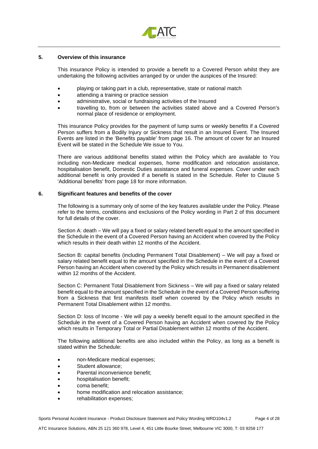

## <span id="page-3-0"></span>**5. Overview of this insurance**

This insurance Policy is intended to provide a benefit to a Covered Person whilst they are undertaking the following activities arranged by or under the auspices of the Insured:

- playing or taking part in a club, representative, state or national match
- attending a training or practice session
- administrative, social or fundraising activities of the Insured
- travelling to, from or between the activities stated above and a Covered Person's normal place of residence or employment.

This insurance Policy provides for the payment of lump sums or weekly benefits if a Covered Person suffers from a Bodily Injury or Sickness that result in an Insured Event. The Insured Events are listed in the 'Benefits payable' from page 16. The amount of cover for an Insured Event will be stated in the Schedule We issue to You.

There are various additional benefits stated within the Policy which are available to You including non-Medicare medical expenses, home modification and relocation assistance, hospitalisation benefit, Domestic Duties assistance and funeral expenses. Cover under each additional benefit is only provided if a benefit is stated in the Schedule. Refer to Clause 5 'Additional benefits' from page 18 for more information.

#### <span id="page-3-1"></span>**6. Significant features and benefits of the cover**

The following is a summary only of some of the key features available under the Policy. Please refer to the terms, conditions and exclusions of the Policy wording in Part 2 of this document for full details of the cover.

Section A: death – We will pay a fixed or salary related benefit equal to the amount specified in the Schedule in the event of a Covered Person having an Accident when covered by the Policy which results in their death within 12 months of the Accident.

Section B: capital benefits (including Permanent Total Disablement) – We will pay a fixed or salary related benefit equal to the amount specified in the Schedule in the event of a Covered Person having an Accident when covered by the Policy which results in Permanent disablement within 12 months of the Accident.

Section C: Permanent Total Disablement from Sickness – We will pay a fixed or salary related benefit equal to the amount specified in the Schedule in the event of a Covered Person suffering from a Sickness that first manifests itself when covered by the Policy which results in Permanent Total Disablement within 12 months.

Section D: loss of Income - We will pay a weekly benefit equal to the amount specified in the Schedule in the event of a Covered Person having an Accident when covered by the Policy which results in Temporary Total or Partial Disablement within 12 months of the Accident.

The following additional benefits are also included within the Policy, as long as a benefit is stated within the Schedule:

- non-Medicare medical expenses;
- Student allowance:
- Parental inconvenience benefit:
- hospitalisation benefit;
- coma benefit;
- home modification and relocation assistance;
- rehabilitation expenses;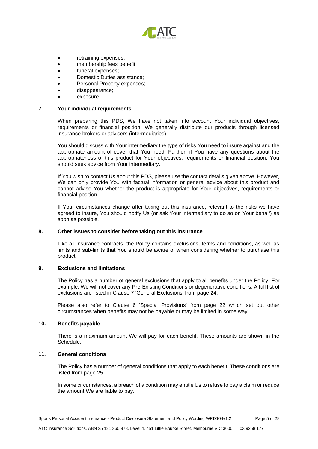

- retraining expenses;
- membership fees benefit;
- funeral expenses;
- Domestic Duties assistance;
- Personal Property expenses;
- disappearance;
- exposure.

#### <span id="page-4-0"></span>**7. Your individual requirements**

When preparing this PDS, We have not taken into account Your individual objectives, requirements or financial position. We generally distribute our products through licensed insurance brokers or advisers (intermediaries).

You should discuss with Your intermediary the type of risks You need to insure against and the appropriate amount of cover that You need. Further, if You have any questions about the appropriateness of this product for Your objectives, requirements or financial position, You should seek advice from Your intermediary.

If You wish to contact Us about this PDS, please use the contact details given above. However, We can only provide You with factual information or general advice about this product and cannot advise You whether the product is appropriate for Your objectives, requirements or financial position.

If Your circumstances change after taking out this insurance, relevant to the risks we have agreed to insure, You should notify Us (or ask Your intermediary to do so on Your behalf) as soon as possible.

## <span id="page-4-1"></span>**8. Other issues to consider before taking out this insurance**

Like all insurance contracts, the Policy contains exclusions, terms and conditions, as well as limits and sub-limits that You should be aware of when considering whether to purchase this product.

#### <span id="page-4-2"></span>**9. Exclusions and limitations**

The Policy has a number of general exclusions that apply to all benefits under the Policy. For example, We will not cover any Pre-Existing Conditions or degenerative conditions. A full list of exclusions are listed in Clause 7 'General Exclusions' from page 24.

Please also refer to Clause 6 'Special Provisions' from page 22 which set out other circumstances when benefits may not be payable or may be limited in some way.

## <span id="page-4-3"></span>**10. Benefits payable**

There is a maximum amount We will pay for each benefit. These amounts are shown in the Schedule.

## <span id="page-4-4"></span>**11. General conditions**

The Policy has a number of general conditions that apply to each benefit. These conditions are listed from page 25.

In some circumstances, a breach of a condition may entitle Us to refuse to pay a claim or reduce the amount We are liable to pay.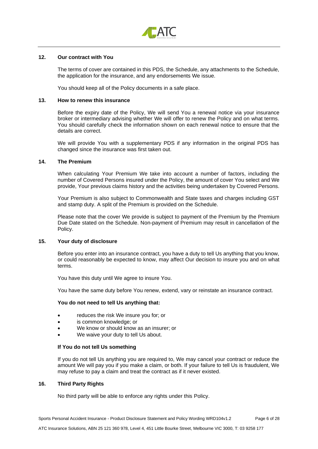

## <span id="page-5-0"></span>**12. Our contract with You**

The terms of cover are contained in this PDS, the Schedule, any attachments to the Schedule, the application for the insurance, and any endorsements We issue.

You should keep all of the Policy documents in a safe place.

#### <span id="page-5-1"></span>**13. How to renew this insurance**

Before the expiry date of the Policy, We will send You a renewal notice via your insurance broker or intermediary advising whether We will offer to renew the Policy and on what terms. You should carefully check the information shown on each renewal notice to ensure that the details are correct.

We will provide You with a supplementary PDS if any information in the original PDS has changed since the insurance was first taken out.

## <span id="page-5-2"></span>**14. The Premium**

When calculating Your Premium We take into account a number of factors, including the number of Covered Persons insured under the Policy, the amount of cover You select and We provide, Your previous claims history and the activities being undertaken by Covered Persons.

Your Premium is also subject to Commonwealth and State taxes and charges including GST and stamp duty. A split of the Premium is provided on the Schedule.

Please note that the cover We provide is subject to payment of the Premium by the Premium Due Date stated on the Schedule. Non-payment of Premium may result in cancellation of the Policy.

#### <span id="page-5-3"></span>**15. Your duty of disclosure**

Before you enter into an insurance contract, you have a duty to tell Us anything that you know, or could reasonably be expected to know, may affect Our decision to insure you and on what terms.

You have this duty until We agree to insure You.

You have the same duty before You renew, extend, vary or reinstate an insurance contract.

#### **You do not need to tell Us anything that:**

- reduces the risk We insure you for; or
- is common knowledge; or
- We know or should know as an insurer; or
- We waive your duty to tell Us about.

#### **If You do not tell Us something**

If you do not tell Us anything you are required to, We may cancel your contract or reduce the amount We will pay you if you make a claim, or both. If your failure to tell Us is fraudulent, We may refuse to pay a claim and treat the contract as if it never existed.

## <span id="page-5-4"></span>**16. Third Party Rights**

No third party will be able to enforce any rights under this Policy.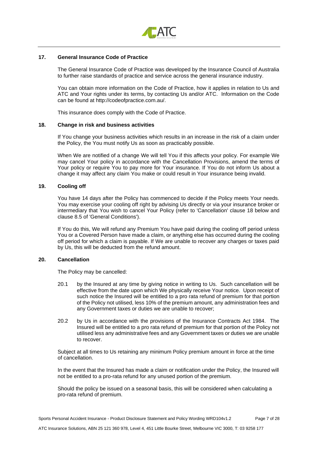

## <span id="page-6-0"></span>**17. General Insurance Code of Practice**

The General Insurance Code of Practice was developed by the Insurance Council of Australia to further raise standards of practice and service across the general insurance industry.

You can obtain more information on the Code of Practice, how it applies in relation to Us and ATC and Your rights under its terms, by contacting Us and/or ATC. Information on the Code can be found at http://codeofpractice.com.au/.

This insurance does comply with the Code of Practice.

#### <span id="page-6-1"></span>**18. Change in risk and business activities**

If You change your business activities which results in an increase in the risk of a claim under the Policy, the You must notify Us as soon as practicably possible.

When We are notified of a change We will tell You if this affects your policy. For example We may cancel Your policy in accordance with the Cancellation Provisions, amend the terms of Your policy or require You to pay more for Your insurance. If You do not inform Us about a change it may affect any claim You make or could result in Your insurance being invalid.

#### <span id="page-6-2"></span>**19. Cooling off**

You have 14 days after the Policy has commenced to decide if the Policy meets Your needs. You may exercise your cooling off right by advising Us directly or via your insurance broker or intermediary that You wish to cancel Your Policy (refer to 'Cancellation' clause 18 below and clause 8.5 of 'General Conditions').

If You do this, We will refund any Premium You have paid during the cooling off period unless You or a Covered Person have made a claim, or anything else has occurred during the cooling off period for which a claim is payable. If We are unable to recover any charges or taxes paid by Us, this will be deducted from the refund amount.

#### <span id="page-6-3"></span>**20. Cancellation**

The Policy may be cancelled:

- 20.1 by the Insured at any time by giving notice in writing to Us. Such cancellation will be effective from the date upon which We physically receive Your notice. Upon receipt of such notice the Insured will be entitled to a pro rata refund of premium for that portion of the Policy not utilised, less 10% of the premium amount, any administration fees and any Government taxes or duties we are unable to recover;
- 20.2 by Us in accordance with the provisions of the Insurance Contracts Act 1984. The Insured will be entitled to a pro rata refund of premium for that portion of the Policy not utilised less any administrative fees and any Government taxes or duties we are unable to recover.

Subject at all times to Us retaining any minimum Policy premium amount in force at the time of cancellation.

In the event that the Insured has made a claim or notification under the Policy, the Insured will not be entitled to a pro-rata refund for any unused portion of the premium.

Should the policy be issued on a seasonal basis, this will be considered when calculating a pro-rata refund of premium.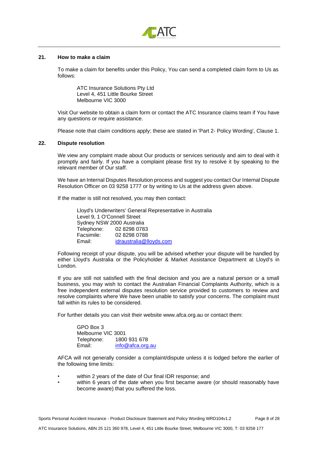

#### <span id="page-7-0"></span>**21. How to make a claim**

To make a claim for benefits under this Policy, You can send a completed claim form to Us as follows:

ATC Insurance Solutions Pty Ltd Level 4, 451 Little Bourke Street Melbourne VIC 3000

Visit Our website to obtain a claim form or contact the ATC Insurance claims team if You have any questions or require assistance.

Please note that claim conditions apply; these are stated in 'Part 2- Policy Wording', Clause 1.

## <span id="page-7-1"></span>**22. Dispute resolution**

We view any complaint made about Our products or services seriously and aim to deal with it promptly and fairly. If you have a complaint please first try to resolve it by speaking to the relevant member of Our staff.

We have an Internal Disputes Resolution process and suggest you contact Our Internal Dispute Resolution Officer on 03 9258 1777 or by writing to Us at the address given above.

If the matter is still not resolved, you may then contact:

Lloyd's Underwriters' General Representative in Australia Level 9, 1 O'Connell Street Sydney NSW 2000 Australia Telephone: 02 8298 0783 Facsimile: 02 8298 0788 Email: [idraustralia@lloyds.com](mailto:idraustralia@lloyds.com)

Following receipt of your dispute, you will be advised whether your dispute will be handled by either Lloyd's Australia or the Policyholder & Market Assistance Department at Lloyd's in London.

If you are still not satisfied with the final decision and you are a natural person or a small business, you may wish to contact the Australian Financial Complaints Authority, which is a free independent external disputes resolution service provided to customers to review and resolve complaints where We have been unable to satisfy your concerns. The complaint must fall within its rules to be considered.

For further details you can visit their website www.afca.org.au or contact them:

GPO Box 3 Melbourne VIC 3001 Telephone: 1800 931 678 Email: [info@afca.org.au](mailto:info@afca.org.au)

AFCA will not generally consider a complaint/dispute unless it is lodged before the earlier of the following time limits:

- within 2 years of the date of Our final IDR response; and
- within 6 years of the date when you first became aware (or should reasonably have become aware) that you suffered the loss.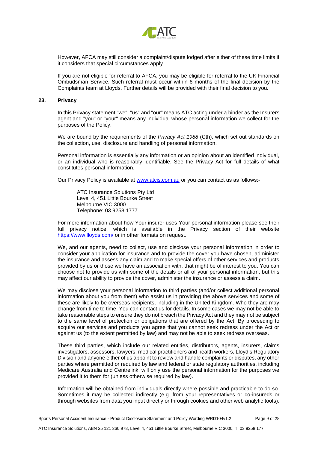

However, AFCA may still consider a complaint/dispute lodged after either of these time limits if it considers that special circumstances apply.

If you are not eligible for referral to AFCA, you may be eligible for referral to the UK Financial Ombudsman Service. Such referral must occur within 6 months of the final decision by the Complaints team at Lloyds. Further details will be provided with their final decision to you.

#### <span id="page-8-0"></span>**23. Privacy**

In this Privacy statement "we", "us" and "our" means ATC acting under a binder as the Insurers agent and "you" or "your" means any individual whose personal information we collect for the purposes of the Policy.

We are bound by the requirements of the *Privacy Act 1988* (Cth), which set out standards on the collection, use, disclosure and handling of personal information.

Personal information is essentially any information or an opinion about an identified individual, or an individual who is reasonably identifiable. See the Privacy Act for full details of what constitutes personal information.

Our Privacy Policy is available at [www.atcis.com.au](http://www.atcis.com.au/) or you can contact us as follows:-

ATC Insurance Solutions Pty Ltd Level 4, 451 Little Bourke Street Melbourne VIC 3000 Telephone: 03 9258 1777

For more information about how Your insurer uses Your personal information please see their full privacy notice, which is available in the Privacy section of their website <https://www.lloyds.com/> or in other formats on request.

We, and our agents, need to collect, use and disclose your personal information in order to consider your application for insurance and to provide the cover you have chosen, administer the insurance and assess any claim and to make special offers of other services and products provided by us or those we have an association with, that might be of interest to you. You can choose not to provide us with some of the details or all of your personal information, but this may affect our ability to provide the cover, administer the insurance or assess a claim.

We may disclose your personal information to third parties (and/or collect additional personal information about you from them) who assist us in providing the above services and some of these are likely to be overseas recipients, including in the United Kingdom. Who they are may change from time to time. You can contact us for details. In some cases we may not be able to take reasonable steps to ensure they do not breach the Privacy Act and they may not be subject to the same level of protection or obligations that are offered by the Act. By proceeding to acquire our services and products you agree that you cannot seek redress under the Act or against us (to the extent permitted by law) and may not be able to seek redress overseas.

These third parties, which include our related entities, distributors, agents, insurers, claims investigators, assessors, lawyers, medical practitioners and health workers, Lloyd's Regulatory Division and anyone either of us appoint to review and handle complaints or disputes, any other parties where permitted or required by law and federal or state regulatory authorities, including Medicare Australia and Centrelink, will only use the personal information for the purposes we provided it to them for (unless otherwise required by law).

Information will be obtained from individuals directly where possible and practicable to do so. Sometimes it may be collected indirectly (e.g. from your representatives or co-insureds or through websites from data you input directly or through cookies and other web analytic tools).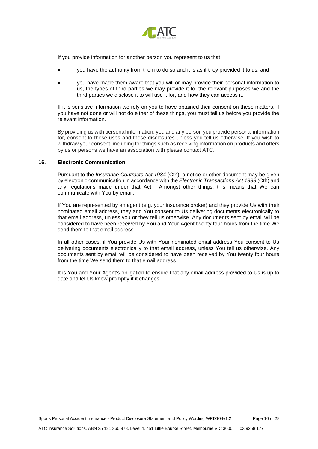

If you provide information for another person you represent to us that:

- you have the authority from them to do so and it is as if they provided it to us; and
- you have made them aware that you will or may provide their personal information to us, the types of third parties we may provide it to, the relevant purposes we and the third parties we disclose it to will use it for, and how they can access it.

If it is sensitive information we rely on you to have obtained their consent on these matters. If you have not done or will not do either of these things, you must tell us before you provide the relevant information.

By providing us with personal information, you and any person you provide personal information for, consent to these uses and these disclosures unless you tell us otherwise. If you wish to withdraw your consent, including for things such as receiving information on products and offers by us or persons we have an association with please contact ATC.

## **16. Electronic Communication**

Pursuant to the *Insurance Contracts Act 1984* (Cth), a notice or other document may be given by electronic communication in accordance with the *Electronic Transactions Act 1999* (Cth) and any regulations made under that Act. Amongst other things, this means that We can communicate with You by email.

If You are represented by an agent (e.g. your insurance broker) and they provide Us with their nominated email address, they and You consent to Us delivering documents electronically to that email address, unless you or they tell us otherwise. Any documents sent by email will be considered to have been received by You and Your Agent twenty four hours from the time We send them to that email address.

In all other cases, if You provide Us with Your nominated email address You consent to Us delivering documents electronically to that email address, unless You tell us otherwise. Any documents sent by email will be considered to have been received by You twenty four hours from the time We send them to that email address.

It is You and Your Agent's obligation to ensure that any email address provided to Us is up to date and let Us know promptly if it changes.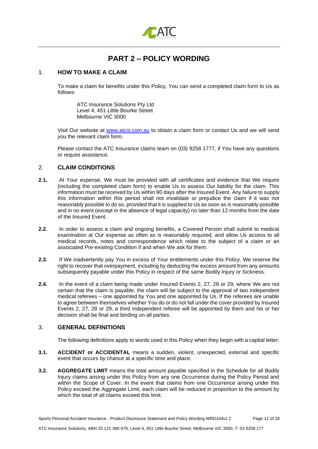

## **PART 2 – POLICY WORDING**

## <span id="page-10-1"></span><span id="page-10-0"></span>1. **HOW TO MAKE A CLAIM**

To make a claim for benefits under this Policy, You can send a completed claim form to Us as follows:

ATC Insurance Solutions Pty Ltd Level 4, 451 Little Bourke Street Melbourne VIC 3000

Visit Our website at [www.atcis.com.au](http://www.atcis.com.au/) to obtain a claim form or contact Us and we will send you the relevant claim form.

Please contact the ATC Insurance claims team on (03) 9258 1777, if You have any questions or require assistance.

## <span id="page-10-2"></span>2. **CLAIM CONDITIONS**

- **2.1.** At Your expense, We must be provided with all certificates and evidence that We require (including the completed claim form) to enable Us to assess Our liability for the claim. This information must be received by Us within 90 days after the Insured Event. Any failure to supply this information within this period shall not invalidate or prejudice the claim if it was not reasonably possible to do so, provided that it is supplied to Us as soon as is reasonably possible and in no event (except in the absence of legal capacity) no later than 12 months from the date of the Insured Event.
- **2.2.** In order to assess a claim and ongoing benefits, a Covered Person shall submit to medical examination at Our expense as often as is reasonably required, and allow Us access to all medical records, notes and correspondence which relate to the subject of a claim or an associated Pre-existing Condition if and when We ask for them.
- **2.3.** If We inadvertently pay You in excess of Your entitlements under this Policy, We reserve the right to recover that overpayment, including by deducting the excess amount from any amounts subsequently payable under this Policy in respect of the same Bodily Injury or Sickness.
- **2.4.** In the event of a claim being made under Insured Events 2, 27, 28 or 29, where We are not certain that the claim is payable, the claim will be subject to the approval of two independent medical referees – one appointed by You and one appointed by Us. If the referees are unable to agree between themselves whether You do or do not fall under the cover provided by Insured Events 2, 27, 28 or 29, a third independent referee will be appointed by them and his or her decision shall be final and binding on all parties.

## <span id="page-10-3"></span>3. **GENERAL DEFINITIONS**

The following definitions apply to words used in this Policy when they begin with a capital letter:

- **3.1. ACCIDENT or ACCIDENTAL** means a sudden, violent, unexpected, external and specific event that occurs by chance at a specific time and place.
- **3.2. AGGREGATE LIMIT** means the total amount payable specified in the Schedule for all Bodily Injury claims arising under this Policy from any one Occurrence during the Policy Period and within the Scope of Cover. In the event that claims from one Occurrence arising under this Policy exceed the Aggregate Limit, each claim will be reduced in proportion to the amount by which the total of all claims exceed this limit.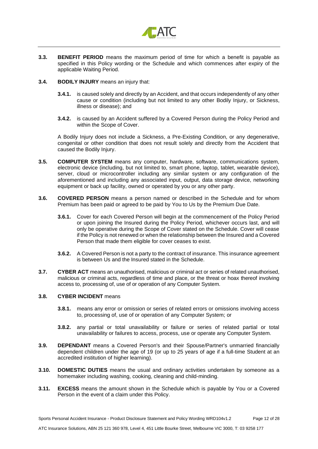

- **3.3. BENEFIT PERIOD** means the maximum period of time for which a benefit is payable as specified in this Policy wording or the Schedule and which commences after expiry of the applicable Waiting Period.
- **3.4. BODILY INJURY** means an injury that:
	- **3.4.1.** is caused solely and directly by an Accident, and that occurs independently of any other cause or condition (including but not limited to any other Bodily Injury, or Sickness, illness or disease); and
	- **3.4.2.** is caused by an Accident suffered by a Covered Person during the Policy Period and within the Scope of Cover.

A Bodily Injury does not include a Sickness, a Pre-Existing Condition, or any degenerative, congenital or other condition that does not result solely and directly from the Accident that caused the Bodily Injury.

- **3.5. COMPUTER SYSTEM** means any computer, hardware, software, communications system, electronic device (including, but not limited to, smart phone, laptop, tablet, wearable device), server, cloud or microcontroller including any similar system or any configuration of the aforementioned and including any associated input, output, data storage device, networking equipment or back up facility, owned or operated by you or any other party.
- **3.6. COVERED PERSON** means a person named or described in the Schedule and for whom Premium has been paid or agreed to be paid by You to Us by the Premium Due Date.
	- **3.6.1.** Cover for each Covered Person will begin at the commencement of the Policy Period or upon joining the Insured during the Policy Period, whichever occurs last, and will only be operative during the Scope of Cover stated on the Schedule. Cover will cease if the Policy is not renewed or when the relationship between the Insured and a Covered Person that made them eligible for cover ceases to exist.
	- **3.6.2.** A Covered Person is not a party to the contract of insurance. This insurance agreement is between Us and the Insured stated in the Schedule.
- **3.7. CYBER ACT** means an unauthorised, malicious or criminal act or series of related unauthorised, malicious or criminal acts, regardless of time and place, or the threat or hoax thereof involving access to, processing of, use of or operation of any Computer System.

## **3.8. CYBER INCIDENT** means

- **3.8.1.** means any error or omission or series of related errors or omissions involving access to, processing of, use of or operation of any Computer System; or
- **3.8.2.** any partial or total unavailability or failure or series of related partial or total unavailability or failures to access, process, use or operate any Computer System.
- **3.9. DEPENDANT** means a Covered Person's and their Spouse/Partner's unmarried financially dependent children under the age of 19 (or up to 25 years of age if a full-time Student at an accredited institution of higher learning).
- **3.10. DOMESTIC DUTIES** means the usual and ordinary activities undertaken by someone as a homemaker including washing, cooking, cleaning and child-minding.
- **3.11. EXCESS** means the amount shown in the Schedule which is payable by You or a Covered Person in the event of a claim under this Policy.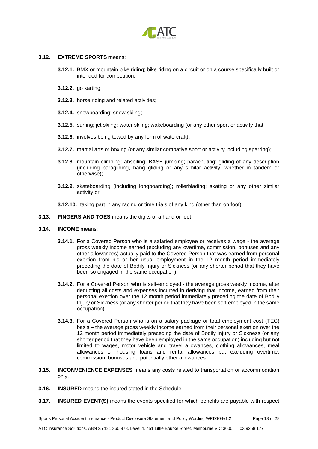

## **3.12. EXTREME SPORTS** means:

- **3.12.1.** BMX or mountain bike riding; bike riding on a circuit or on a course specifically built or intended for competition;
- **3.12.2.** go karting;
- **3.12.3.** horse riding and related activities;
- **3.12.4.** snowboarding; snow skiing;
- **3.12.5.** surfing; jet skiing; water skiing; wakeboarding (or any other sport or activity that
- **3.12.6.** involves being towed by any form of watercraft);
- **3.12.7.** martial arts or boxing (or any similar combative sport or activity including sparring);
- **3.12.8.** mountain climbing; abseiling; BASE jumping; parachuting; gliding of any description (including paragliding, hang gliding or any similar activity, whether in tandem or otherwise);
- **3.12.9.** skateboarding (including longboarding); rollerblading; skating or any other similar activity or
- **3.12.10.** taking part in any racing or time trials of any kind (other than on foot).
- **3.13. FINGERS AND TOES** means the digits of a hand or foot.
- **3.14. INCOME** means:
	- **3.14.1.** For a Covered Person who is a salaried employee or receives a wage the average gross weekly income earned (excluding any overtime, commission, bonuses and any other allowances) actually paid to the Covered Person that was earned from personal exertion from his or her usual employment in the 12 month period immediately preceding the date of Bodily Injury or Sickness (or any shorter period that they have been so engaged in the same occupation).
	- **3.14.2.** For a Covered Person who is self-employed the average gross weekly income, after deducting all costs and expenses incurred in deriving that income, earned from their personal exertion over the 12 month period immediately preceding the date of Bodily Injury or Sickness (or any shorter period that they have been self-employed in the same occupation).
	- **3.14.3.** For a Covered Person who is on a salary package or total employment cost (TEC) basis – the average gross weekly income earned from their personal exertion over the 12 month period immediately preceding the date of Bodily Injury or Sickness (or any shorter period that they have been employed in the same occupation) including but not limited to wages, motor vehicle and travel allowances, clothing allowances, meal allowances or housing loans and rental allowances but excluding overtime, commission, bonuses and potentially other allowances.
- **3.15. INCONVENIENCE EXPENSES** means any costs related to transportation or accommodation only.
- **3.16. INSURED** means the insured stated in the Schedule.
- **3.17. INSURED EVENT(S)** means the events specified for which benefits are payable with respect

Sports Personal Accident Insurance - Product Disclosure Statement and Policy Wording WRD104v1.2 Page 13 of 28 ATC Insurance Solutions, ABN 25 121 360 978, Level 4, 451 Little Bourke Street, Melbourne VIC 3000, T: 03 9258 177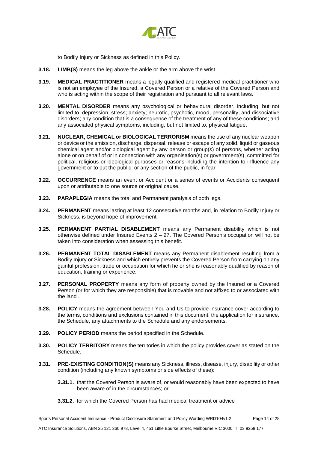

to Bodily Injury or Sickness as defined in this Policy.

- **3.18. LIMB(S)** means the leg above the ankle or the arm above the wrist.
- **3.19. MEDICAL PRACTITIONER** means a legally qualified and registered medical practitioner who is not an employee of the Insured, a Covered Person or a relative of the Covered Person and who is acting within the scope of their registration and pursuant to all relevant laws.
- **3.20. MENTAL DISORDER** means any psychological or behavioural disorder, including, but not limited to, depression; stress; anxiety; neurotic, psychotic, mood, personality, and dissociative disorders; any condition that is a consequence of the treatment of any of these conditions; and any associated physical symptoms, including, but not limited to, physical fatigue.
- **3.21. NUCLEAR, CHEMICAL or BIOLOGICAL TERRORISM** means the use of any nuclear weapon or device or the emission, discharge, dispersal, release or escape of any solid, liquid or gaseous chemical agent and/or biological agent by any person or group(s) of persons, whether acting alone or on behalf of or in connection with any organisation(s) or government(s), committed for political, religious or ideological purposes or reasons including the intention to influence any government or to put the public, or any section of the public, in fear.
- **3.22. OCCURRENCE** means an event or Accident or a series of events or Accidents consequent upon or attributable to one source or original cause.
- **3.23. PARAPLEGIA** means the total and Permanent paralysis of both legs.
- **3.24. PERMANENT** means lasting at least 12 consecutive months and, in relation to Bodily Injury or Sickness, is beyond hope of improvement.
- **3.25. PERMANENT PARTIAL DISABLEMENT** means any Permanent disability which is not otherwise defined under Insured Events 2 – 27. The Covered Person's occupation will not be taken into consideration when assessing this benefit.
- **3.26. PERMANENT TOTAL DISABLEMENT** means any Permanent disablement resulting from a Bodily Injury or Sickness and which entirely prevents the Covered Person from carrying on any gainful profession, trade or occupation for which he or she is reasonably qualified by reason of education, training or experience.
- **3.27. PERSONAL PROPERTY** means any form of property owned by the Insured or a Covered Person (or for which they are responsible) that is movable and not affixed to or associated with the land .
- **3.28. POLICY** means the agreement between You and Us to provide insurance cover according to the terms, conditions and exclusions contained in this document, the application for insurance, the Schedule, any attachments to the Schedule and any endorsements.
- **3.29. POLICY PERIOD** means the period specified in the Schedule.
- **3.30. POLICY TERRITORY** means the territories in which the policy provides cover as stated on the Schedule.
- **3.31. PRE-EXISTING CONDITION(S)** means any Sickness, illness, disease, injury, disability or other condition (including any known symptoms or side effects of these):
	- **3.31.1.** that the Covered Person is aware of, or would reasonably have been expected to have been aware of in the circumstances; or
	- **3.31.2.** for which the Covered Person has had medical treatment or advice

Sports Personal Accident Insurance - Product Disclosure Statement and Policy Wording WRD104v1.2 Page 14 of 28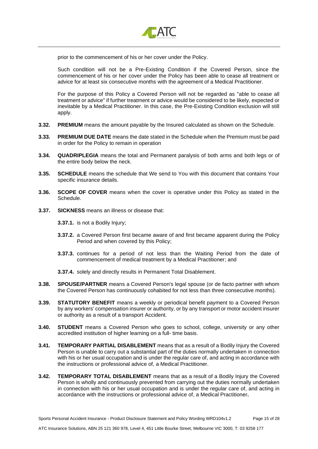

prior to the commencement of his or her cover under the Policy.

Such condition will not be a Pre-Existing Condition if the Covered Person, since the commencement of his or her cover under the Policy has been able to cease all treatment or advice for at least six consecutive months with the agreement of a Medical Practitioner.

For the purpose of this Policy a Covered Person will not be regarded as "able to cease all treatment or advice" if further treatment or advice would be considered to be likely, expected or inevitable by a Medical Practitioner. In this case, the Pre-Existing Condition exclusion will still apply.

- **3.32. PREMIUM** means the amount payable by the Insured calculated as shown on the Schedule.
- **3.33. PREMIUM DUE DATE** means the date stated in the Schedule when the Premium must be paid in order for the Policy to remain in operation
- **3.34. QUADRIPLEGIA** means the total and Permanent paralysis of both arms and both legs or of the entire body below the neck.
- **3.35. SCHEDULE** means the schedule that We send to You with this document that contains Your specific insurance details.
- **3.36. SCOPE OF COVER** means when the cover is operative under this Policy as stated in the Schedule.
- **3.37. SICKNESS** means an illness or disease that:
	- **3.37.1.** is not a Bodily Injury;
	- **3.37.2.** a Covered Person first became aware of and first became apparent during the Policy Period and when covered by this Policy;
	- **3.37.3.** continues for a period of not less than the Waiting Period from the date of commencement of medical treatment by a Medical Practitioner; and
	- **3.37.4.** solely and directly results in Permanent Total Disablement.
- **3.38. SPOUSE/PARTNER** means a Covered Person's legal spouse (or de facto partner with whom the Covered Person has continuously cohabited for not less than three consecutive months).
- **3.39. STATUTORY BENEFIT** means a weekly or periodical benefit payment to a Covered Person by any workers' compensation insurer or authority, or by any transport or motor accident insurer or authority as a result of a transport Accident.
- **3.40. STUDENT** means a Covered Person who goes to school, college, university or any other accredited institution of higher learning on a full- time basis.
- **3.41. TEMPORARY PARTIAL DISABLEMENT** means that as a result of a Bodily Injury the Covered Person is unable to carry out a substantial part of the duties normally undertaken in connection with his or her usual occupation and is under the regular care of, and acting in accordance with the instructions or professional advice of, a Medical Practitioner.
- **3.42. TEMPORARY TOTAL DISABLEMENT** means that as a result of a Bodily Injury the Covered Person is wholly and continuously prevented from carrying out the duties normally undertaken in connection with his or her usual occupation and is under the regular care of, and acting in accordance with the instructions or professional advice of, a Medical Practitioner**.**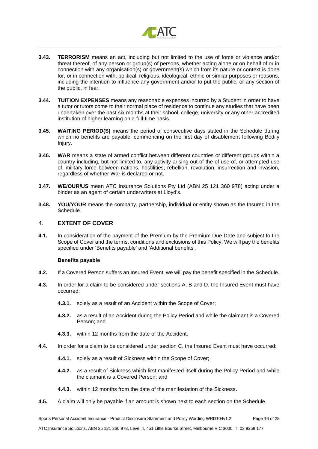

- **3.43. TERRORISM** means an act, including but not limited to the use of force or violence and/or threat thereof, of any person or group(s) of persons, whether acting alone or on behalf of or in connection with any organisation(s) or government(s) which from its nature or context is done for, or in connection with, political, religious, ideological, ethnic or similar purposes or reasons, including the intention to influence any government and/or to put the public, or any section of the public, in fear.
- **3.44. TUITION EXPENSES** means any reasonable expenses incurred by a Student in order to have a tutor or tutors come to their normal place of residence to continue any studies that have been undertaken over the past six months at their school, college, university or any other accredited institution of higher learning on a full-time basis.
- **3.45. WAITING PERIOD(S)** means the period of consecutive days stated in the Schedule during which no benefits are payable, commencing on the first day of disablement following Bodily Injury.
- **3.46. WAR** means a state of armed conflict between different countries or different groups within a country including, but not limited to, any activity arising out of the of use of, or attempted use of, military force between nations, hostilities, rebellion, revolution, insurrection and invasion, regardless of whether War is declared or not.
- **3.47. WE/OUR/US** mean ATC Insurance Solutions Pty Ltd (ABN 25 121 360 978) acting under a binder as an agent of certain underwriters at Lloyd's.
- **3.48. YOU/YOUR** means the company, partnership, individual or entity shown as the Insured in the Schedule.

## <span id="page-15-0"></span>4. **EXTENT OF COVER**

**4.1.** In consideration of the payment of the Premium by the Premium Due Date and subject to the Scope of Cover and the terms, conditions and exclusions of this Policy, We will pay the benefits specified under 'Benefits payable' and 'Additional benefits'.

## **Benefits payable**

- **4.2.** If a Covered Person suffers an Insured Event, we will pay the benefit specified in the Schedule.
- **4.3.** In order for a claim to be considered under sections A, B and D, the Insured Event must have occurred:
	- **4.3.1.** solely as a result of an Accident within the Scope of Cover;
	- **4.3.2.** as a result of an Accident during the Policy Period and while the claimant is a Covered Person; and
	- **4.3.3.** within 12 months from the date of the Accident.
- **4.4.** In order for a claim to be considered under section C, the Insured Event must have occurred:
	- **4.4.1.** solely as a result of Sickness within the Scope of Cover;
	- **4.4.2.** as a result of Sickness which first manifested itself during the Policy Period and while the claimant is a Covered Person; and
	- **4.4.3.** within 12 months from the date of the manifestation of the Sickness.
- **4.5.** A claim will only be payable if an amount is shown next to each section on the Schedule.

Sports Personal Accident Insurance - Product Disclosure Statement and Policy Wording WRD104v1.2 Page 16 of 28 ATC Insurance Solutions, ABN 25 121 360 978, Level 4, 451 Little Bourke Street, Melbourne VIC 3000, T: 03 9258 177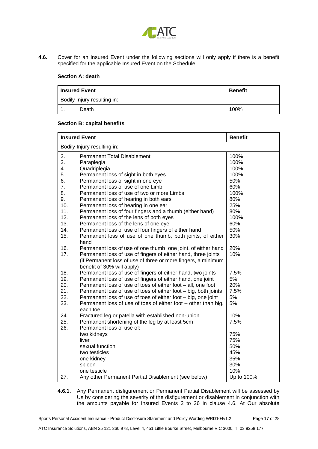

**4.6.** Cover for an Insured Event under the following sections will only apply if there is a benefit specified for the applicable Insured Event on the Schedule:

## **Section A: death**

| l Insured Event             |  | <b>Benefit</b> |
|-----------------------------|--|----------------|
| Bodily Injury resulting in: |  |                |
| Death                       |  | 100%           |

## **Section B: capital benefits**

|                             | <b>Insured Event</b>                                            | <b>Benefit</b> |  |
|-----------------------------|-----------------------------------------------------------------|----------------|--|
| Bodily Injury resulting in: |                                                                 |                |  |
| 2.                          | <b>Permanent Total Disablement</b>                              | 100%           |  |
| 3.                          | Paraplegia                                                      | 100%           |  |
| 4.                          | Quadriplegia                                                    | 100%           |  |
| 5.                          | Permanent loss of sight in both eyes                            | 100%           |  |
| 6.                          | Permanent loss of sight in one eye                              | 50%            |  |
| 7.                          | Permanent loss of use of one Limb                               | 60%            |  |
| 8.                          | Permanent loss of use of two or more Limbs                      | 100%           |  |
| 9.                          | Permanent loss of hearing in both ears                          | 80%            |  |
| 10.                         | Permanent loss of hearing in one ear                            | 25%            |  |
| 11.                         | Permanent loss of four fingers and a thumb (either hand)        | 80%            |  |
| 12.                         | Permanent loss of the lens of both eyes                         | 100%           |  |
| 13.                         | Permanent loss of the lens of one eye                           | 60%            |  |
| 14.                         | Permanent loss of use of four fingers of either hand            | 50%            |  |
| 15.                         | Permanent loss of use of one thumb, both joints, of either      | 30%            |  |
|                             | hand                                                            |                |  |
| 16.                         | Permanent loss of use of one thumb, one joint, of either hand   | 20%            |  |
| 17.                         | Permanent loss of use of fingers of either hand, three joints   | 10%            |  |
|                             | (if Permanent loss of use of three or more fingers, a minimum   |                |  |
|                             | benefit of 30% will apply)                                      |                |  |
| 18.                         | Permanent loss of use of fingers of either hand, two joints     | 7.5%           |  |
| 19.                         | Permanent loss of use of fingers of either hand, one joint      | 5%             |  |
| 20.                         | Permanent loss of use of toes of either foot - all, one foot    | 20%            |  |
| 21.                         | Permanent loss of use of toes of either foot – big, both joints | 7.5%           |  |
| 22.                         | Permanent loss of use of toes of either foot - big, one joint   | 5%             |  |
| 23.                         | Permanent loss of use of toes of either foot - other than big,  | 5%             |  |
|                             | each toe                                                        |                |  |
| 24.                         | Fractured leg or patella with established non-union             | 10%            |  |
| 25.                         | Permanent shortening of the leg by at least 5cm                 | 7.5%           |  |
| 26.                         | Permanent loss of use of:                                       |                |  |
|                             | two kidneys                                                     | 75%            |  |
|                             | liver                                                           | 75%            |  |
|                             | sexual function                                                 | 50%            |  |
|                             | two testicles                                                   | 45%            |  |
|                             | one kidney                                                      | 35%            |  |
|                             | spleen                                                          | 30%            |  |
|                             | one testicle                                                    | 10%            |  |
| 27.                         | Any other Permanent Partial Disablement (see below)             | Up to 100%     |  |

**4.6.1.** Any Permanent disfigurement or Permanent Partial Disablement will be assessed by Us by considering the severity of the disfigurement or disablement in conjunction with the amounts payable for Insured Events 2 to 26 in clause 4.6. At Our absolute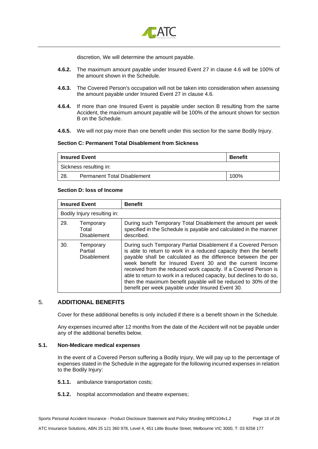

discretion, We will determine the amount payable.

- **4.6.2.** The maximum amount payable under Insured Event 27 in clause 4.6 will be 100% of the amount shown in the Schedule.
- **4.6.3.** The Covered Person's occupation will not be taken into consideration when assessing the amount payable under Insured Event 27 in clause 4.6.
- **4.6.4.** If more than one Insured Event is payable under section B resulting from the same Accident, the maximum amount payable will be 100% of the amount shown for section B on the Schedule.
- **4.6.5.** We will not pay more than one benefit under this section for the same Bodily Injury.

## **Section C: Permanent Total Disablement from Sickness**

| <b>Insured Event</b>   |                                    | <b>Benefit</b> |
|------------------------|------------------------------------|----------------|
| Sickness resulting in: |                                    |                |
| -28.                   | <b>Permanent Total Disablement</b> | 100%           |

## **Section D: loss of Income**

| <b>Insured Event</b> |                                            | <b>Benefit</b>                                                                                                                                                                                                                                                                                                                                                                                                                                                                                                                  |  |  |
|----------------------|--------------------------------------------|---------------------------------------------------------------------------------------------------------------------------------------------------------------------------------------------------------------------------------------------------------------------------------------------------------------------------------------------------------------------------------------------------------------------------------------------------------------------------------------------------------------------------------|--|--|
|                      | Bodily Injury resulting in:                |                                                                                                                                                                                                                                                                                                                                                                                                                                                                                                                                 |  |  |
| 29.                  | Temporary<br>Total<br><b>Disablement</b>   | During such Temporary Total Disablement the amount per week<br>specified in the Schedule is payable and calculated in the manner<br>described.                                                                                                                                                                                                                                                                                                                                                                                  |  |  |
| 30.                  | Temporary<br>Partial<br><b>Disablement</b> | During such Temporary Partial Disablement if a Covered Person<br>is able to return to work in a reduced capacity then the benefit<br>payable shall be calculated as the difference between the per<br>week benefit for Insured Event 30 and the current Income<br>received from the reduced work capacity. If a Covered Person is<br>able to return to work in a reduced capacity, but declines to do so,<br>then the maximum benefit payable will be reduced to 30% of the<br>benefit per week payable under Insured Event 30. |  |  |

## <span id="page-17-0"></span>5. **ADDITIONAL BENEFITS**

Cover for these additional benefits is only included if there is a benefit shown in the Schedule.

Any expenses incurred after 12 months from the date of the Accident will not be payable under any of the additional benefits below.

## **5.1. Non-Medicare medical expenses**

In the event of a Covered Person suffering a Bodily Injury, We will pay up to the percentage of expenses stated in the Schedule in the aggregate for the following incurred expenses in relation to the Bodily Injury:

- **5.1.1.** ambulance transportation costs;
- **5.1.2.** hospital accommodation and theatre expenses;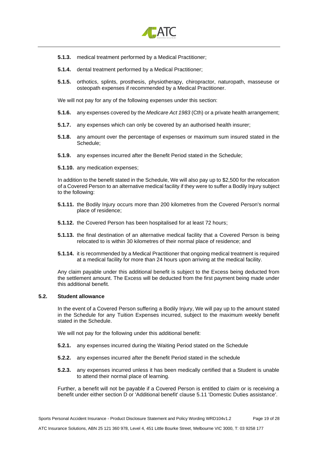

- **5.1.3.** medical treatment performed by a Medical Practitioner;
- **5.1.4.** dental treatment performed by a Medical Practitioner;
- **5.1.5.** orthotics, splints, prosthesis, physiotherapy, chiropractor, naturopath, masseuse or osteopath expenses if recommended by a Medical Practitioner.

We will not pay for any of the following expenses under this section:

- **5.1.6.** any expenses covered by the *Medicare Act 1983* (Cth) or a private health arrangement;
- **5.1.7.** any expenses which can only be covered by an authorised health insurer;
- **5.1.8.** any amount over the percentage of expenses or maximum sum insured stated in the Schedule;
- **5.1.9.** any expenses incurred after the Benefit Period stated in the Schedule;
- **5.1.10.** any medication expenses;

In addition to the benefit stated in the Schedule, We will also pay up to \$2,500 for the relocation of a Covered Person to an alternative medical facility if they were to suffer a Bodily Injury subject to the following:

- **5.1.11.** the Bodily Injury occurs more than 200 kilometres from the Covered Person's normal place of residence;
- **5.1.12.** the Covered Person has been hospitalised for at least 72 hours;
- **5.1.13.** the final destination of an alternative medical facility that a Covered Person is being relocated to is within 30 kilometres of their normal place of residence; and
- **5.1.14.** it is recommended by a Medical Practitioner that ongoing medical treatment is required at a medical facility for more than 24 hours upon arriving at the medical facility.

Any claim payable under this additional benefit is subject to the Excess being deducted from the settlement amount. The Excess will be deducted from the first payment being made under this additional benefit.

## **5.2. Student allowance**

In the event of a Covered Person suffering a Bodily Injury, We will pay up to the amount stated in the Schedule for any Tuition Expenses incurred, subject to the maximum weekly benefit stated in the Schedule.

We will not pay for the following under this additional benefit:

- **5.2.1.** any expenses incurred during the Waiting Period stated on the Schedule
- **5.2.2.** any expenses incurred after the Benefit Period stated in the schedule
- **5.2.3.** any expenses incurred unless it has been medically certified that a Student is unable to attend their normal place of learning.

Further, a benefit will not be payable if a Covered Person is entitled to claim or is receiving a benefit under either section D or 'Additional benefit' clause 5.11 'Domestic Duties assistance'.

ATC Insurance Solutions, ABN 25 121 360 978, Level 4, 451 Little Bourke Street, Melbourne VIC 3000, T: 03 9258 177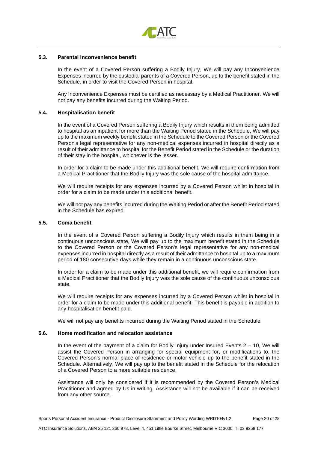

## **5.3. Parental inconvenience benefit**

In the event of a Covered Person suffering a Bodily Injury, We will pay any Inconvenience Expenses incurred by the custodial parents of a Covered Person, up to the benefit stated in the Schedule, in order to visit the Covered Person in hospital.

Any Inconvenience Expenses must be certified as necessary by a Medical Practitioner. We will not pay any benefits incurred during the Waiting Period.

#### **5.4. Hospitalisation benefit**

In the event of a Covered Person suffering a Bodily Injury which results in them being admitted to hospital as an inpatient for more than the Waiting Period stated in the Schedule, We will pay up to the maximum weekly benefit stated in the Schedule to the Covered Person or the Covered Person's legal representative for any non-medical expenses incurred in hospital directly as a result of their admittance to hospital for the Benefit Period stated in the Schedule or the duration of their stay in the hospital, whichever is the lesser.

In order for a claim to be made under this additional benefit, We will require confirmation from a Medical Practitioner that the Bodily Injury was the sole cause of the hospital admittance.

We will require receipts for any expenses incurred by a Covered Person whilst in hospital in order for a claim to be made under this additional benefit.

We will not pay any benefits incurred during the Waiting Period or after the Benefit Period stated in the Schedule has expired.

#### **5.5. Coma benefit**

In the event of a Covered Person suffering a Bodily Injury which results in them being in a continuous unconscious state, We will pay up to the maximum benefit stated in the Schedule to the Covered Person or the Covered Person's legal representative for any non-medical expenses incurred in hospital directly as a result of their admittance to hospital up to a maximum period of 180 consecutive days while they remain in a continuous unconscious state.

In order for a claim to be made under this additional benefit, we will require confirmation from a Medical Practitioner that the Bodily Injury was the sole cause of the continuous unconscious state.

We will require receipts for any expenses incurred by a Covered Person whilst in hospital in order for a claim to be made under this additional benefit. This benefit is payable in addition to any hospitalisation benefit paid.

We will not pay any benefits incurred during the Waiting Period stated in the Schedule.

## **5.6. Home modification and relocation assistance**

In the event of the payment of a claim for Bodily Injury under Insured Events 2 – 10, We will assist the Covered Person in arranging for special equipment for, or modifications to, the Covered Person's normal place of residence or motor vehicle up to the benefit stated in the Schedule. Alternatively, We will pay up to the benefit stated in the Schedule for the relocation of a Covered Person to a more suitable residence.

Assistance will only be considered if it is recommended by the Covered Person's Medical Practitioner and agreed by Us in writing. Assistance will not be available if it can be received from any other source.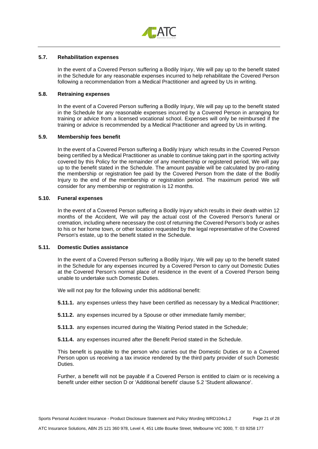

## **5.7. Rehabilitation expenses**

In the event of a Covered Person suffering a Bodily Injury, We will pay up to the benefit stated in the Schedule for any reasonable expenses incurred to help rehabilitate the Covered Person following a recommendation from a Medical Practitioner and agreed by Us in writing.

#### **5.8. Retraining expenses**

In the event of a Covered Person suffering a Bodily Injury, We will pay up to the benefit stated in the Schedule for any reasonable expenses incurred by a Covered Person in arranging for training or advice from a licensed vocational school. Expenses will only be reimbursed if the training or advice is recommended by a Medical Practitioner and agreed by Us in writing.

### **5.9. Membership fees benefit**

In the event of a Covered Person suffering a Bodily Injury which results in the Covered Person being certified by a Medical Practitioner as unable to continue taking part in the sporting activity covered by this Policy for the remainder of any membership or registered period, We will pay up to the benefit stated in the Schedule. The amount payable will be calculated by pro-rating the membership or registration fee paid by the Covered Person from the date of the Bodily Injury to the end of the membership or registration period. The maximum period We will consider for any membership or registration is 12 months.

## **5.10. Funeral expenses**

In the event of a Covered Person suffering a Bodily Injury which results in their death within 12 months of the Accident, We will pay the actual cost of the Covered Person's funeral or cremation, including where necessary the cost of returning the Covered Person's body or ashes to his or her home town, or other location requested by the legal representative of the Covered Person's estate, up to the benefit stated in the Schedule.

## **5.11. Domestic Duties assistance**

In the event of a Covered Person suffering a Bodily Injury, We will pay up to the benefit stated in the Schedule for any expenses incurred by a Covered Person to carry out Domestic Duties at the Covered Person's normal place of residence in the event of a Covered Person being unable to undertake such Domestic Duties.

We will not pay for the following under this additional benefit:

**5.11.1.** any expenses unless they have been certified as necessary by a Medical Practitioner;

**5.11.2.** any expenses incurred by a Spouse or other immediate family member;

**5.11.3.** any expenses incurred during the Waiting Period stated in the Schedule;

**5.11.4.** any expenses incurred after the Benefit Period stated in the Schedule.

This benefit is payable to the person who carries out the Domestic Duties or to a Covered Person upon us receiving a tax invoice rendered by the third party provider of such Domestic Duties.

Further, a benefit will not be payable if a Covered Person is entitled to claim or is receiving a benefit under either section D or 'Additional benefit' clause 5.2 'Student allowance'.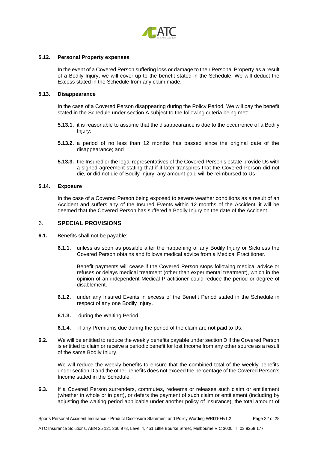

## **5.12. Personal Property expenses**

In the event of a Covered Person suffering loss or damage to their Personal Property as a result of a Bodily Injury, we will cover up to the benefit stated in the Schedule. We will deduct the Excess stated in the Schedule from any claim made.

#### **5.13. Disappearance**

In the case of a Covered Person disappearing during the Policy Period, We will pay the benefit stated in the Schedule under section A subject to the following criteria being met:

- **5.13.1.** it is reasonable to assume that the disappearance is due to the occurrence of a Bodily Injury;
- **5.13.2.** a period of no less than 12 months has passed since the original date of the disappearance; and
- **5.13.3.** the Insured or the legal representatives of the Covered Person's estate provide Us with a signed agreement stating that if it later transpires that the Covered Person did not die, or did not die of Bodily Injury, any amount paid will be reimbursed to Us.

## **5.14. Exposure**

In the case of a Covered Person being exposed to severe weather conditions as a result of an Accident and suffers any of the Insured Events within 12 months of the Accident, it will be deemed that the Covered Person has suffered a Bodily Injury on the date of the Accident.

## <span id="page-21-0"></span>6. **SPECIAL PROVISIONS**

- **6.1.** Benefits shall not be payable:
	- **6.1.1.** unless as soon as possible after the happening of any Bodily Injury or Sickness the Covered Person obtains and follows medical advice from a Medical Practitioner.

Benefit payments will cease if the Covered Person stops following medical advice or refuses or delays medical treatment (other than experimental treatment), which in the opinion of an independent Medical Practitioner could reduce the period or degree of disablement.

- **6.1.2.** under any Insured Events in excess of the Benefit Period stated in the Schedule in respect of any one Bodily Injury.
- **6.1.3.** during the Waiting Period.
- **6.1.4.** if any Premiums due during the period of the claim are not paid to Us.
- **6.2.** We will be entitled to reduce the weekly benefits payable under section D if the Covered Person is entitled to claim or receive a periodic benefit for lost Income from any other source as a result of the same Bodily Injury.

We will reduce the weekly benefits to ensure that the combined total of the weekly benefits under section D and the other benefits does not exceed the percentage of the Covered Person's Income stated in the Schedule.

**6.3.** If a Covered Person surrenders, commutes, redeems or releases such claim or entitlement (whether in whole or in part), or defers the payment of such claim or entitlement (including by adjusting the waiting period applicable under another policy of insurance), the total amount of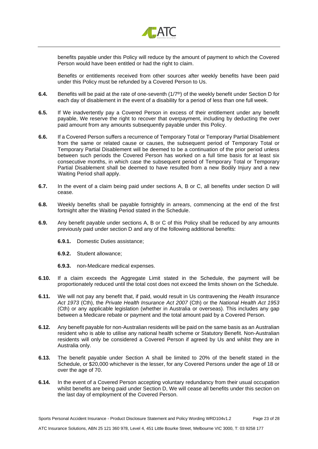

benefits payable under this Policy will reduce by the amount of payment to which the Covered Person would have been entitled or had the right to claim.

Benefits or entitlements received from other sources after weekly benefits have been paid under this Policy must be refunded by a Covered Person to Us.

- **6.4.** Benefits will be paid at the rate of one-seventh (1/7<sup>th</sup>) of the weekly benefit under Section D for each day of disablement in the event of a disability for a period of less than one full week.
- **6.5.** If We inadvertently pay a Covered Person in excess of their entitlement under any benefit payable, We reserve the right to recover that overpayment, including by deducting the over paid amount from any amounts subsequently payable under this Policy.
- **6.6.** If a Covered Person suffers a recurrence of Temporary Total or Temporary Partial Disablement from the same or related cause or causes, the subsequent period of Temporary Total or Temporary Partial Disablement will be deemed to be a continuation of the prior period unless between such periods the Covered Person has worked on a full time basis for at least six consecutive months, in which case the subsequent period of Temporary Total or Temporary Partial Disablement shall be deemed to have resulted from a new Bodily Injury and a new Waiting Period shall apply.
- **6.7.** In the event of a claim being paid under sections A, B or C, all benefits under section D will cease.
- **6.8.** Weekly benefits shall be payable fortnightly in arrears, commencing at the end of the first fortnight after the Waiting Period stated in the Schedule.
- **6.9.** Any benefit payable under sections A, B or C of this Policy shall be reduced by any amounts previously paid under section D and any of the following additional benefits:
	- **6.9.1.** Domestic Duties assistance;
	- **6.9.2.** Student allowance;
	- **6.9.3.** non-Medicare medical expenses.
- **6.10.** If a claim exceeds the Aggregate Limit stated in the Schedule, the payment will be proportionately reduced until the total cost does not exceed the limits shown on the Schedule.
- **6.11.** We will not pay any benefit that, if paid, would result in Us contravening the *Health Insurance Act 1973* (Cth), the *Private Health Insurance Act 2007* (Cth) or the *National Health Act 1953* (Cth) or any applicable legislation (whether in Australia or overseas). This includes any gap between a Medicare rebate or payment and the total amount paid by a Covered Person.
- **6.12.** Any benefit payable for non-Australian residents will be paid on the same basis as an Australian resident who is able to utilise any national health scheme or Statutory Benefit. Non-Australian residents will only be considered a Covered Person if agreed by Us and whilst they are in Australia only.
- **6.13.** The benefit payable under Section A shall be limited to 20% of the benefit stated in the Schedule, or \$20,000 whichever is the lesser, for any Covered Persons under the age of 18 or over the age of 70.
- **6.14.** In the event of a Covered Person accepting voluntary redundancy from their usual occupation whilst benefits are being paid under Section D, We will cease all benefits under this section on the last day of employment of the Covered Person.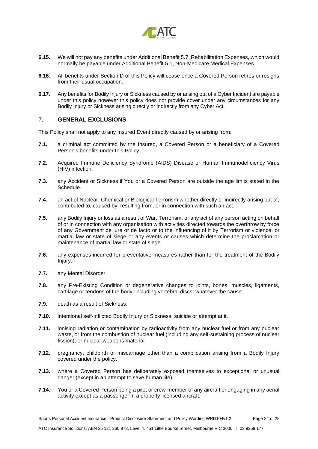

- **6.15.** We will not pay any benefits under Additional Benefit 5.7, Rehabilitation Expenses, which would normally be payable under Additional Benefit 5.1, Non-Medicare Medical Expenses.
- **6.16.** All benefits under Section D of this Policy will cease once a Covered Person retires or resigns from their usual occupation.
- **6.17.** Any benefits for Bodily Injury or Sickness caused by or arising out of a Cyber Incident are payable under this policy however this policy does not provide cover under any circumstances for any Bodily Injury or Sickness arising directly or indirectly from any Cyber Act.

## <span id="page-23-0"></span>7. **GENERAL EXCLUSIONS**

This Policy shall not apply to any Insured Event directly caused by or arising from:

- **7.1.** a criminal act committed by the Insured, a Covered Person or a beneficiary of a Covered Person's benefits under this Policy.
- **7.2.** Acquired Immune Deficiency Syndrome (AIDS) Disease or Human Immunodeficiency Virus (HIV) infection.
- **7.3.** any Accident or Sickness if You or a Covered Person are outside the age limits stated in the Schedule.
- **7.4.** an act of Nuclear, Chemical or Biological Terrorism whether directly or indirectly arising out of, contributed to, caused by, resulting from, or in connection with such an act.
- **7.5.** any Bodily Injury or loss as a result of War, Terrorism, or any act of any person acting on behalf of or in connection with any organisation with activities directed towards the overthrow by force of any Government de jure or de facto or to the influencing of it by Terrorism or violence, or martial law or state of siege or any events or causes which determine the proclamation or maintenance of martial law or state of siege.
- **7.6.** any expenses incurred for preventative measures rather than for the treatment of the Bodily Injury.
- **7.7.** any Mental Disorder.
- **7.8.** any Pre-Existing Condition or degenerative changes to joints, bones, muscles, ligaments, cartilage or tendons of the body, including vertebral discs, whatever the cause.
- **7.9.** death as a result of Sickness.
- **7.10.** intentional self-inflicted Bodily Injury or Sickness, suicide or attempt at it.
- **7.11.** ionising radiation or contamination by radioactivity from any nuclear fuel or from any nuclear waste, or from the combustion of nuclear fuel (including any self-sustaining process of nuclear fission), or nuclear weapons material.
- **7.12.** pregnancy, childbirth or miscarriage other than a complication arising from a Bodily Injury covered under the policy.
- **7.13.** where a Covered Person has deliberately exposed themselves to exceptional or unusual danger (except in an attempt to save human life).
- **7.14.** You or a Covered Person being a pilot or crew-member of any aircraft or engaging in any aerial activity except as a passenger in a properly licensed aircraft.

ATC Insurance Solutions, ABN 25 121 360 978, Level 4, 451 Little Bourke Street, Melbourne VIC 3000, T: 03 9258 177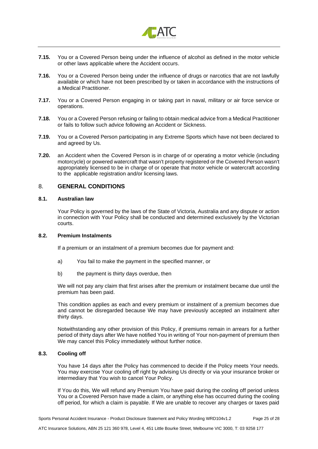

- **7.15.** You or a Covered Person being under the influence of alcohol as defined in the motor vehicle or other laws applicable where the Accident occurs.
- **7.16.** You or a Covered Person being under the influence of drugs or narcotics that are not lawfully available or which have not been prescribed by or taken in accordance with the instructions of a Medical Practitioner.
- **7.17.** You or a Covered Person engaging in or taking part in naval, military or air force service or operations.
- **7.18.** You or a Covered Person refusing or failing to obtain medical advice from a Medical Practitioner or fails to follow such advice following an Accident or Sickness.
- **7.19.** You or a Covered Person participating in any Extreme Sports which have not been declared to and agreed by Us.
- **7.20.** an Accident when the Covered Person is in charge of or operating a motor vehicle (including motorcycle) or powered watercraft that wasn't property registered or the Covered Person wasn't appropriately licensed to be in charge of or operate that motor vehicle or watercraft according to the applicable registration and/or licensing laws.

## <span id="page-24-0"></span>8. **GENERAL CONDITIONS**

### **8.1. Australian law**

Your Policy is governed by the laws of the State of Victoria, Australia and any dispute or action in connection with Your Policy shall be conducted and determined exclusively by the Victorian courts.

## **8.2. Premium Instalments**

If a premium or an instalment of a premium becomes due for payment and:

- a) You fail to make the payment in the specified manner, or
- b) the payment is thirty days overdue, then

We will not pay any claim that first arises after the premium or instalment became due until the premium has been paid.

This condition applies as each and every premium or instalment of a premium becomes due and cannot be disregarded because We may have previously accepted an instalment after thirty days.

Notwithstanding any other provision of this Policy, if premiums remain in arrears for a further period of thirty days after We have notified You in writing of Your non-payment of premium then We may cancel this Policy immediately without further notice.

## **8.3. Cooling off**

You have 14 days after the Policy has commenced to decide if the Policy meets Your needs. You may exercise Your cooling off right by advising Us directly or via your insurance broker or intermediary that You wish to cancel Your Policy.

If You do this, We will refund any Premium You have paid during the cooling off period unless You or a Covered Person have made a claim, or anything else has occurred during the cooling off period, for which a claim is payable. If We are unable to recover any charges or taxes paid

Sports Personal Accident Insurance - Product Disclosure Statement and Policy Wording WRD104v1.2 Page 25 of 28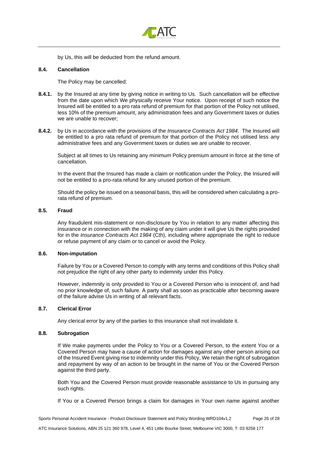

by Us, this will be deducted from the refund amount.

## **8.4. Cancellation**

The Policy may be cancelled:

- **8.4.1.** by the Insured at any time by giving notice in writing to Us. Such cancellation will be effective from the date upon which We physically receive Your notice. Upon receipt of such notice the Insured will be entitled to a pro rata refund of premium for that portion of the Policy not utilised, less 10% of the premium amount, any administration fees and any Government taxes or duties we are unable to recover;
- **8.4.2.** by Us in accordance with the provisions of the *Insurance Contracts Act 1984*. The Insured will be entitled to a pro rata refund of premium for that portion of the Policy not utilised less any administrative fees and any Government taxes or duties we are unable to recover.

Subject at all times to Us retaining any minimum Policy premium amount in force at the time of cancellation.

In the event that the Insured has made a claim or notification under the Policy, the Insured will not be entitled to a pro-rata refund for any unused portion of the premium.

Should the policy be issued on a seasonal basis, this will be considered when calculating a prorata refund of premium.

## **8.5. Fraud**

Any fraudulent mis-statement or non-disclosure by You in relation to any matter affecting this insurance or in connection with the making of any claim under it will give Us the rights provided for in the *Insurance Contracts Act 1984* (Cth), including where appropriate the right to reduce or refuse payment of any claim or to cancel or avoid the Policy.

### **8.6. Non-imputation**

Failure by You or a Covered Person to comply with any terms and conditions of this Policy shall not prejudice the right of any other party to indemnity under this Policy.

However, indemnity is only provided to You or a Covered Person who is innocent of, and had no prior knowledge of, such failure. A party shall as soon as practicable after becoming aware of the failure advise Us in writing of all relevant facts.

## **8.7. Clerical Error**

Any clerical error by any of the parties to this insurance shall not invalidate it.

## **8.8. Subrogation**

If We make payments under the Policy to You or a Covered Person, to the extent You or a Covered Person may have a cause of action for damages against any other person arising out of the Insured Event giving rise to indemnity under this Policy, We retain the right of subrogation and repayment by way of an action to be brought in the name of You or the Covered Person against the third party.

Both You and the Covered Person must provide reasonable assistance to Us in pursuing any such rights.

If You or a Covered Person brings a claim for damages in Your own name against another

Sports Personal Accident Insurance - Product Disclosure Statement and Policy Wording WRD104v1.2 Page 26 of 28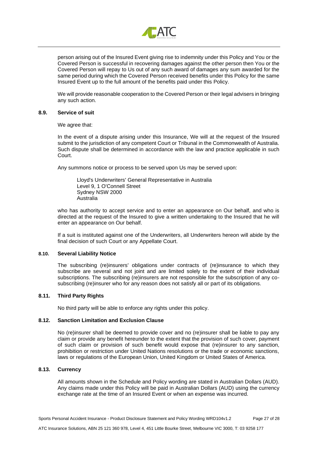

person arising out of the Insured Event giving rise to indemnity under this Policy and You or the Covered Person is successful in recovering damages against the other person then You or the Covered Person will repay to Us out of any such award of damages any sum awarded for the same period during which the Covered Person received benefits under this Policy for the same Insured Event up to the full amount of the benefits paid under this Policy.

We will provide reasonable cooperation to the Covered Person or their legal advisers in bringing any such action.

#### **8.9. Service of suit**

We agree that:

In the event of a dispute arising under this Insurance, We will at the request of the Insured submit to the jurisdiction of any competent Court or Tribunal in the Commonwealth of Australia. Such dispute shall be determined in accordance with the law and practice applicable in such Court.

Any summons notice or process to be served upon Us may be served upon:

Lloyd's Underwriters' General Representative in Australia Level 9, 1 O'Connell Street Sydney NSW 2000 Australia

who has authority to accept service and to enter an appearance on Our behalf, and who is directed at the request of the Insured to give a written undertaking to the Insured that he will enter an appearance on Our behalf.

If a suit is instituted against one of the Underwriters, all Underwriters hereon will abide by the final decision of such Court or any Appellate Court.

## **8.10. Several Liability Notice**

The subscribing (re)insurers' obligations under contracts of (re)insurance to which they subscribe are several and not joint and are limited solely to the extent of their individual subscriptions. The subscribing (re)insurers are not responsible for the subscription of any cosubscribing (re)insurer who for any reason does not satisfy all or part of its obligations.

## **8.11. Third Party Rights**

No third party will be able to enforce any rights under this policy.

## **8.12. Sanction Limitation and Exclusion Clause**

No (re)insurer shall be deemed to provide cover and no (re)insurer shall be liable to pay any claim or provide any benefit hereunder to the extent that the provision of such cover, payment of such claim or provision of such benefit would expose that (re)insurer to any sanction, prohibition or restriction under United Nations resolutions or the trade or economic sanctions, laws or regulations of the European Union, United Kingdom or United States of America.

## **8.13. Currency**

All amounts shown in the Schedule and Policy wording are stated in Australian Dollars (AUD). Any claims made under this Policy will be paid in Australian Dollars (AUD) using the currency exchange rate at the time of an Insured Event or when an expense was incurred.